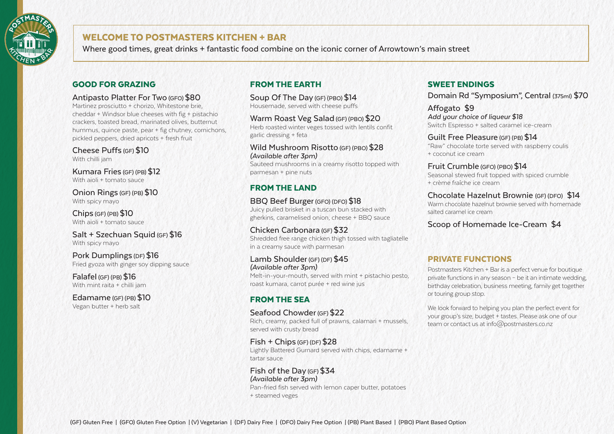

# WELCOME TO POSTMASTERS KITCHEN + BAR

Where good times, great drinks + fantastic food combine on the iconic corner of Arrowtown's main street

#### GOOD FOR GRAZING

#### Antipasto Platter For Two (GFO) \$80

Martinez prosciutto + chorizo, Whitestone brie, cheddar + Windsor blue cheeses with fig + pistachio crackers, toasted bread, marinated olives, butternut hummus, quince paste, pear + fig chutney, cornichons, pickled peppers, dried apricots + fresh fruit

Cheese Puffs (GF) \$10 With chilli jam

Kumara Fries (GF) (PB) \$12 With aioli + tomato sauce

Onion Rings (GF) (PB) \$10 With spicy mayo

Chips (GF) (PB) \$10 With aioli + tomato sauce

Salt + Szechuan Squid (GF) \$16 With spicy mayo

#### Pork Dumplings (DF) \$16 Fried gyoza with ginger soy dipping sauce

Falafel (GF) (PB) \$16 With mint raita + chilli jam

Edamame (GF) (PB) \$10 Vegan butter + herb salt

## FROM THE EARTH

Soup Of The Day (GF) (PBO) \$14 Housemade, served with cheese puffs

Warm Roast Veg Salad (GF) (PBO) \$20 Herb roasted winter veges tossed with lentils confit garlic dressing + feta

Wild Mushroom Risotto (GF) (PBO) \$28 *(Available after 3pm)* 

Sauteed mushrooms in a creamy risotto topped with parmesan + pine nuts

#### FROM THE LAND

BBQ Beef Burger (GFO) (DFO) \$18 Juicy pulled brisket in a tuscan bun stacked with

gherkins, caramelised onion, cheese + BBQ sauce

Chicken Carbonara (GF) \$32 Shredded free range chicken thigh tossed with tagliatelle in a creamy sauce with parmesan

Lamb Shoulder (GF) (DF) \$45 *(Available after 3pm)*  Melt-in-your-mouth, served with mint + pistachio pesto, roast kumara, carrot purée + red wine jus

# FROM THE SEA

#### Seafood Chowder (GF) \$22

Rich, creamy, packed full of prawns, calamari + mussels, served with crusty bread

Fish + Chips (GF) (DF) \$28 Lightly Battered Gurnard served with chips, edamame + tartar sauce

Fish of the Day (GF) \$34 *(Available after 3pm)*  Pan-fried fish served with lemon caper butter, potatoes + steamed veges

#### SWEET ENDINGS

Domain Rd "Symposium", Central (375ml) \$70

Affogato \$9 *Add your choice of liqueur \$18*  Switch Espresso + salted caramel ice-cream

Guilt Free Pleasure (GF) (PB) \$14 "Raw" chocolate torte served with raspberry coulis + coconut ice cream

Fruit Crumble (GFO) (PBO) \$14 Seasonal stewed fruit topped with spiced crumble + crème fraîche ice cream

Chocolate Hazelnut Brownie (GF) (DFO) \$14 Warm chocolate hazelnut brownie served with homemade salted caramel ice cream

Scoop of Homemade Ice-Cream \$4

## PRIVATE FUNCTIONS

Postmasters Kitchen + Bar is a perfect venue for boutique private functions in any season – be it an intimate wedding, birthday celebration, business meeting, family get together or touring group stop.

We look forward to helping you plan the perfect event for your group's size, budget + tastes. Please ask one of our team or contact us at info@postmasters.co.nz